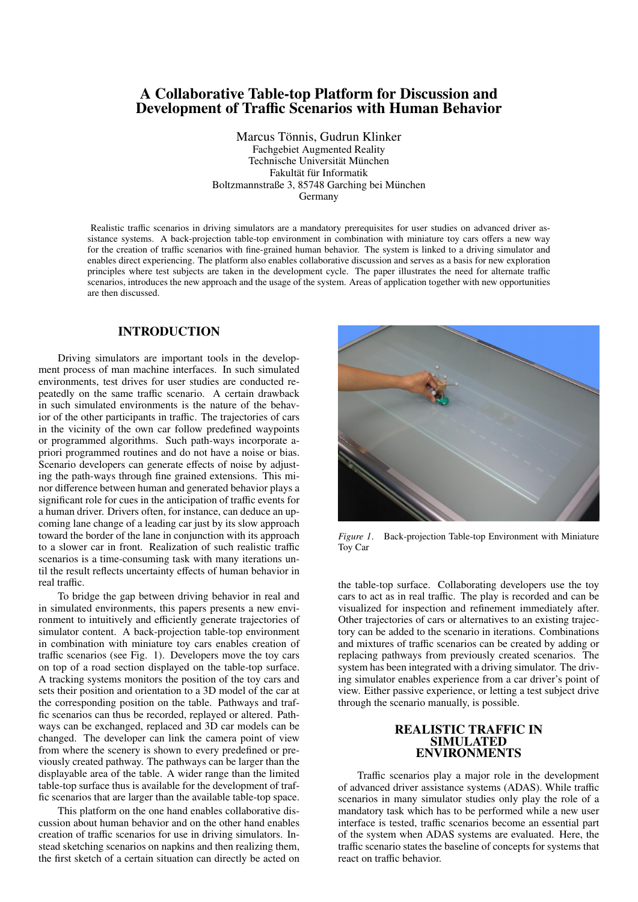# A Collaborative Table-top Platform for Discussion and Development of Traffic Scenarios with Human Behavior

Marcus Tönnis, Gudrun Klinker Fachgebiet Augmented Reality Technische Universität München Fakultät für Informatik Boltzmannstraße 3, 85748 Garching bei München Germany

Realistic traffic scenarios in driving simulators are a mandatory prerequisites for user studies on advanced driver assistance systems. A back-projection table-top environment in combination with miniature toy cars offers a new way for the creation of traffic scenarios with fine-grained human behavior. The system is linked to a driving simulator and enables direct experiencing. The platform also enables collaborative discussion and serves as a basis for new exploration principles where test subjects are taken in the development cycle. The paper illustrates the need for alternate traffic scenarios, introduces the new approach and the usage of the system. Areas of application together with new opportunities are then discussed.

# INTRODUCTION

Driving simulators are important tools in the development process of man machine interfaces. In such simulated environments, test drives for user studies are conducted repeatedly on the same traffic scenario. A certain drawback in such simulated environments is the nature of the behavior of the other participants in traffic. The trajectories of cars in the vicinity of the own car follow predefined waypoints or programmed algorithms. Such path-ways incorporate apriori programmed routines and do not have a noise or bias. Scenario developers can generate effects of noise by adjusting the path-ways through fine grained extensions. This minor difference between human and generated behavior plays a significant role for cues in the anticipation of traffic events for a human driver. Drivers often, for instance, can deduce an upcoming lane change of a leading car just by its slow approach toward the border of the lane in conjunction with its approach to a slower car in front. Realization of such realistic traffic scenarios is a time-consuming task with many iterations until the result reflects uncertainty effects of human behavior in real traffic.

To bridge the gap between driving behavior in real and in simulated environments, this papers presents a new environment to intuitively and efficiently generate trajectories of simulator content. A back-projection table-top environment in combination with miniature toy cars enables creation of traffic scenarios (see Fig. 1). Developers move the toy cars on top of a road section displayed on the table-top surface. A tracking systems monitors the position of the toy cars and sets their position and orientation to a 3D model of the car at the corresponding position on the table. Pathways and traffic scenarios can thus be recorded, replayed or altered. Pathways can be exchanged, replaced and 3D car models can be changed. The developer can link the camera point of view from where the scenery is shown to every predefined or previously created pathway. The pathways can be larger than the displayable area of the table. A wider range than the limited table-top surface thus is available for the development of traffic scenarios that are larger than the available table-top space.

This platform on the one hand enables collaborative discussion about human behavior and on the other hand enables creation of traffic scenarios for use in driving simulators. Instead sketching scenarios on napkins and then realizing them, the first sketch of a certain situation can directly be acted on



*Figure 1*. Back-projection Table-top Environment with Miniature Toy Car

the table-top surface. Collaborating developers use the toy cars to act as in real traffic. The play is recorded and can be visualized for inspection and refinement immediately after. Other trajectories of cars or alternatives to an existing trajectory can be added to the scenario in iterations. Combinations and mixtures of traffic scenarios can be created by adding or replacing pathways from previously created scenarios. The system has been integrated with a driving simulator. The driving simulator enables experience from a car driver's point of view. Either passive experience, or letting a test subject drive through the scenario manually, is possible.

### REALISTIC TRAFFIC IN SIMULATED ENVIRONMENTS

Traffic scenarios play a major role in the development of advanced driver assistance systems (ADAS). While traffic scenarios in many simulator studies only play the role of a mandatory task which has to be performed while a new user interface is tested, traffic scenarios become an essential part of the system when ADAS systems are evaluated. Here, the traffic scenario states the baseline of concepts for systems that react on traffic behavior.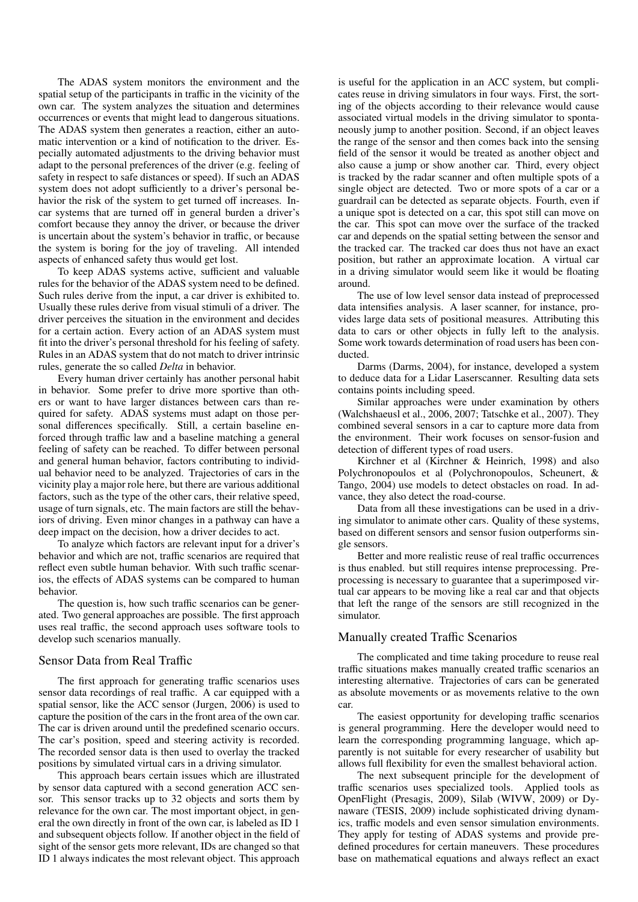The ADAS system monitors the environment and the spatial setup of the participants in traffic in the vicinity of the own car. The system analyzes the situation and determines occurrences or events that might lead to dangerous situations. The ADAS system then generates a reaction, either an automatic intervention or a kind of notification to the driver. Especially automated adjustments to the driving behavior must adapt to the personal preferences of the driver (e.g. feeling of safety in respect to safe distances or speed). If such an ADAS system does not adopt sufficiently to a driver's personal behavior the risk of the system to get turned off increases. Incar systems that are turned off in general burden a driver's comfort because they annoy the driver, or because the driver is uncertain about the system's behavior in traffic, or because the system is boring for the joy of traveling. All intended aspects of enhanced safety thus would get lost.

To keep ADAS systems active, sufficient and valuable rules for the behavior of the ADAS system need to be defined. Such rules derive from the input, a car driver is exhibited to. Usually these rules derive from visual stimuli of a driver. The driver perceives the situation in the environment and decides for a certain action. Every action of an ADAS system must fit into the driver's personal threshold for his feeling of safety. Rules in an ADAS system that do not match to driver intrinsic rules, generate the so called *Delta* in behavior.

Every human driver certainly has another personal habit in behavior. Some prefer to drive more sportive than others or want to have larger distances between cars than required for safety. ADAS systems must adapt on those personal differences specifically. Still, a certain baseline enforced through traffic law and a baseline matching a general feeling of safety can be reached. To differ between personal and general human behavior, factors contributing to individual behavior need to be analyzed. Trajectories of cars in the vicinity play a major role here, but there are various additional factors, such as the type of the other cars, their relative speed, usage of turn signals, etc. The main factors are still the behaviors of driving. Even minor changes in a pathway can have a deep impact on the decision, how a driver decides to act.

To analyze which factors are relevant input for a driver's behavior and which are not, traffic scenarios are required that reflect even subtle human behavior. With such traffic scenarios, the effects of ADAS systems can be compared to human behavior.

The question is, how such traffic scenarios can be generated. Two general approaches are possible. The first approach uses real traffic, the second approach uses software tools to develop such scenarios manually.

### Sensor Data from Real Traffic

The first approach for generating traffic scenarios uses sensor data recordings of real traffic. A car equipped with a spatial sensor, like the ACC sensor (Jurgen, 2006) is used to capture the position of the cars in the front area of the own car. The car is driven around until the predefined scenario occurs. The car's position, speed and steering activity is recorded. The recorded sensor data is then used to overlay the tracked positions by simulated virtual cars in a driving simulator.

This approach bears certain issues which are illustrated by sensor data captured with a second generation ACC sensor. This sensor tracks up to 32 objects and sorts them by relevance for the own car. The most important object, in general the own directly in front of the own car, is labeled as ID 1 and subsequent objects follow. If another object in the field of sight of the sensor gets more relevant, IDs are changed so that ID 1 always indicates the most relevant object. This approach is useful for the application in an ACC system, but complicates reuse in driving simulators in four ways. First, the sorting of the objects according to their relevance would cause associated virtual models in the driving simulator to spontaneously jump to another position. Second, if an object leaves the range of the sensor and then comes back into the sensing field of the sensor it would be treated as another object and also cause a jump or show another car. Third, every object is tracked by the radar scanner and often multiple spots of a single object are detected. Two or more spots of a car or a guardrail can be detected as separate objects. Fourth, even if a unique spot is detected on a car, this spot still can move on the car. This spot can move over the surface of the tracked car and depends on the spatial setting between the sensor and the tracked car. The tracked car does thus not have an exact position, but rather an approximate location. A virtual car in a driving simulator would seem like it would be floating around.

The use of low level sensor data instead of preprocessed data intensifies analysis. A laser scanner, for instance, provides large data sets of positional measures. Attributing this data to cars or other objects in fully left to the analysis. Some work towards determination of road users has been conducted.

Darms (Darms, 2004), for instance, developed a system to deduce data for a Lidar Laserscanner. Resulting data sets contains points including speed.

Similar approaches were under examination by others (Walchshaeusl et al., 2006, 2007; Tatschke et al., 2007). They combined several sensors in a car to capture more data from the environment. Their work focuses on sensor-fusion and detection of different types of road users.

Kirchner et al (Kirchner & Heinrich, 1998) and also Polychronopoulos et al (Polychronopoulos, Scheunert, & Tango, 2004) use models to detect obstacles on road. In advance, they also detect the road-course.

Data from all these investigations can be used in a driving simulator to animate other cars. Quality of these systems, based on different sensors and sensor fusion outperforms single sensors.

Better and more realistic reuse of real traffic occurrences is thus enabled. but still requires intense preprocessing. Preprocessing is necessary to guarantee that a superimposed virtual car appears to be moving like a real car and that objects that left the range of the sensors are still recognized in the simulator.

# Manually created Traffic Scenarios

The complicated and time taking procedure to reuse real traffic situations makes manually created traffic scenarios an interesting alternative. Trajectories of cars can be generated as absolute movements or as movements relative to the own car.

The easiest opportunity for developing traffic scenarios is general programming. Here the developer would need to learn the corresponding programming language, which apparently is not suitable for every researcher of usability but allows full flexibility for even the smallest behavioral action.

The next subsequent principle for the development of traffic scenarios uses specialized tools. Applied tools as OpenFlight (Presagis, 2009), Silab (WIVW, 2009) or Dynaware (TESIS, 2009) include sophisticated driving dynamics, traffic models and even sensor simulation environments. They apply for testing of ADAS systems and provide predefined procedures for certain maneuvers. These procedures base on mathematical equations and always reflect an exact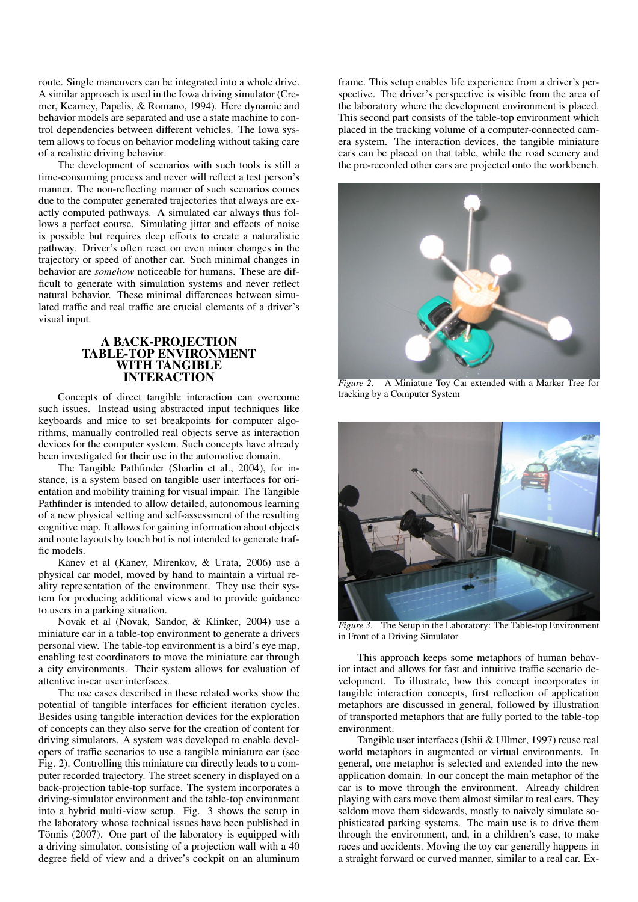route. Single maneuvers can be integrated into a whole drive. A similar approach is used in the Iowa driving simulator (Cremer, Kearney, Papelis, & Romano, 1994). Here dynamic and behavior models are separated and use a state machine to control dependencies between different vehicles. The Iowa system allows to focus on behavior modeling without taking care of a realistic driving behavior.

The development of scenarios with such tools is still a time-consuming process and never will reflect a test person's manner. The non-reflecting manner of such scenarios comes due to the computer generated trajectories that always are exactly computed pathways. A simulated car always thus follows a perfect course. Simulating jitter and effects of noise is possible but requires deep efforts to create a naturalistic pathway. Driver's often react on even minor changes in the trajectory or speed of another car. Such minimal changes in behavior are *somehow* noticeable for humans. These are difficult to generate with simulation systems and never reflect natural behavior. These minimal differences between simulated traffic and real traffic are crucial elements of a driver's visual input.

#### A BACK-PROJECTION TABLE-TOP ENVIRONMENT WITH TANGIBLE INTERACTION

Concepts of direct tangible interaction can overcome such issues. Instead using abstracted input techniques like keyboards and mice to set breakpoints for computer algorithms, manually controlled real objects serve as interaction devices for the computer system. Such concepts have already been investigated for their use in the automotive domain.

The Tangible Pathfinder (Sharlin et al., 2004), for instance, is a system based on tangible user interfaces for orientation and mobility training for visual impair. The Tangible Pathfinder is intended to allow detailed, autonomous learning of a new physical setting and self-assessment of the resulting cognitive map. It allows for gaining information about objects and route layouts by touch but is not intended to generate traffic models.

Kanev et al (Kanev, Mirenkov, & Urata, 2006) use a physical car model, moved by hand to maintain a virtual reality representation of the environment. They use their system for producing additional views and to provide guidance to users in a parking situation.

Novak et al (Novak, Sandor, & Klinker, 2004) use a miniature car in a table-top environment to generate a drivers personal view. The table-top environment is a bird's eye map, enabling test coordinators to move the miniature car through a city environments. Their system allows for evaluation of attentive in-car user interfaces.

The use cases described in these related works show the potential of tangible interfaces for efficient iteration cycles. Besides using tangible interaction devices for the exploration of concepts can they also serve for the creation of content for driving simulators. A system was developed to enable developers of traffic scenarios to use a tangible miniature car (see Fig. 2). Controlling this miniature car directly leads to a computer recorded trajectory. The street scenery in displayed on a back-projection table-top surface. The system incorporates a driving-simulator environment and the table-top environment into a hybrid multi-view setup. Fig. 3 shows the setup in the laboratory whose technical issues have been published in Tönnis (2007). One part of the laboratory is equipped with a driving simulator, consisting of a projection wall with a 40 degree field of view and a driver's cockpit on an aluminum

frame. This setup enables life experience from a driver's perspective. The driver's perspective is visible from the area of the laboratory where the development environment is placed. This second part consists of the table-top environment which placed in the tracking volume of a computer-connected camera system. The interaction devices, the tangible miniature cars can be placed on that table, while the road scenery and the pre-recorded other cars are projected onto the workbench.



*Figure 2*. A Miniature Toy Car extended with a Marker Tree for tracking by a Computer System



*Figure 3*. The Setup in the Laboratory: The Table-top Environment in Front of a Driving Simulator

This approach keeps some metaphors of human behavior intact and allows for fast and intuitive traffic scenario development. To illustrate, how this concept incorporates in tangible interaction concepts, first reflection of application metaphors are discussed in general, followed by illustration of transported metaphors that are fully ported to the table-top environment.

Tangible user interfaces (Ishii & Ullmer, 1997) reuse real world metaphors in augmented or virtual environments. In general, one metaphor is selected and extended into the new application domain. In our concept the main metaphor of the car is to move through the environment. Already children playing with cars move them almost similar to real cars. They seldom move them sidewards, mostly to naively simulate sophisticated parking systems. The main use is to drive them through the environment, and, in a children's case, to make races and accidents. Moving the toy car generally happens in a straight forward or curved manner, similar to a real car. Ex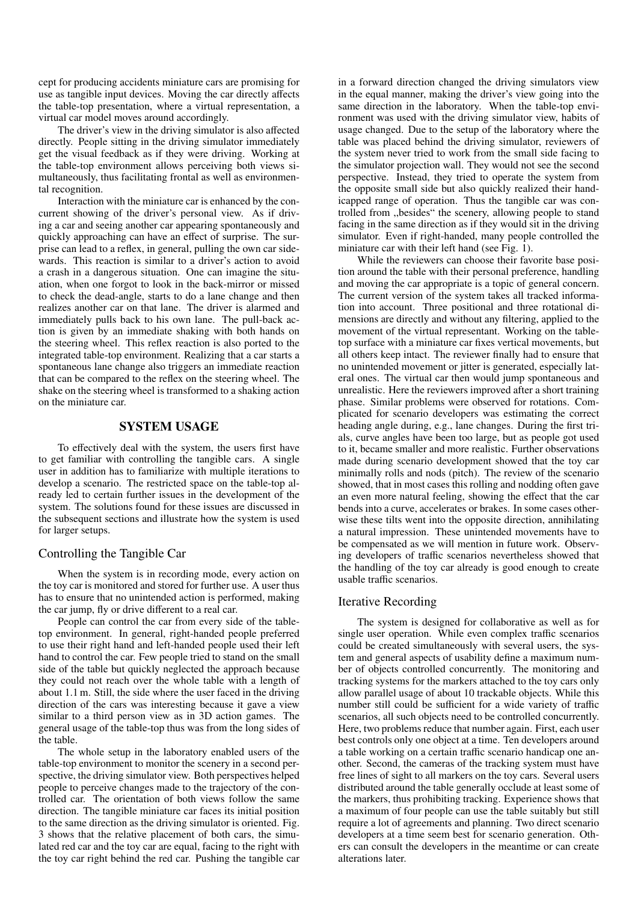cept for producing accidents miniature cars are promising for use as tangible input devices. Moving the car directly affects the table-top presentation, where a virtual representation, a virtual car model moves around accordingly.

The driver's view in the driving simulator is also affected directly. People sitting in the driving simulator immediately get the visual feedback as if they were driving. Working at the table-top environment allows perceiving both views simultaneously, thus facilitating frontal as well as environmental recognition.

Interaction with the miniature car is enhanced by the concurrent showing of the driver's personal view. As if driving a car and seeing another car appearing spontaneously and quickly approaching can have an effect of surprise. The surprise can lead to a reflex, in general, pulling the own car sidewards. This reaction is similar to a driver's action to avoid a crash in a dangerous situation. One can imagine the situation, when one forgot to look in the back-mirror or missed to check the dead-angle, starts to do a lane change and then realizes another car on that lane. The driver is alarmed and immediately pulls back to his own lane. The pull-back action is given by an immediate shaking with both hands on the steering wheel. This reflex reaction is also ported to the integrated table-top environment. Realizing that a car starts a spontaneous lane change also triggers an immediate reaction that can be compared to the reflex on the steering wheel. The shake on the steering wheel is transformed to a shaking action on the miniature car.

# SYSTEM USAGE

To effectively deal with the system, the users first have to get familiar with controlling the tangible cars. A single user in addition has to familiarize with multiple iterations to develop a scenario. The restricted space on the table-top already led to certain further issues in the development of the system. The solutions found for these issues are discussed in the subsequent sections and illustrate how the system is used for larger setups.

# Controlling the Tangible Car

When the system is in recording mode, every action on the toy car is monitored and stored for further use. A user thus has to ensure that no unintended action is performed, making the car jump, fly or drive different to a real car.

People can control the car from every side of the tabletop environment. In general, right-handed people preferred to use their right hand and left-handed people used their left hand to control the car. Few people tried to stand on the small side of the table but quickly neglected the approach because they could not reach over the whole table with a length of about 1.1 m. Still, the side where the user faced in the driving direction of the cars was interesting because it gave a view similar to a third person view as in 3D action games. The general usage of the table-top thus was from the long sides of the table.

The whole setup in the laboratory enabled users of the table-top environment to monitor the scenery in a second perspective, the driving simulator view. Both perspectives helped people to perceive changes made to the trajectory of the controlled car. The orientation of both views follow the same direction. The tangible miniature car faces its initial position to the same direction as the driving simulator is oriented. Fig. 3 shows that the relative placement of both cars, the simulated red car and the toy car are equal, facing to the right with the toy car right behind the red car. Pushing the tangible car in a forward direction changed the driving simulators view in the equal manner, making the driver's view going into the same direction in the laboratory. When the table-top environment was used with the driving simulator view, habits of usage changed. Due to the setup of the laboratory where the table was placed behind the driving simulator, reviewers of the system never tried to work from the small side facing to the simulator projection wall. They would not see the second perspective. Instead, they tried to operate the system from the opposite small side but also quickly realized their handicapped range of operation. Thus the tangible car was controlled from ,,besides" the scenery, allowing people to stand facing in the same direction as if they would sit in the driving simulator. Even if right-handed, many people controlled the miniature car with their left hand (see Fig. 1).

While the reviewers can choose their favorite base position around the table with their personal preference, handling and moving the car appropriate is a topic of general concern. The current version of the system takes all tracked information into account. Three positional and three rotational dimensions are directly and without any filtering, applied to the movement of the virtual representant. Working on the tabletop surface with a miniature car fixes vertical movements, but all others keep intact. The reviewer finally had to ensure that no unintended movement or jitter is generated, especially lateral ones. The virtual car then would jump spontaneous and unrealistic. Here the reviewers improved after a short training phase. Similar problems were observed for rotations. Complicated for scenario developers was estimating the correct heading angle during, e.g., lane changes. During the first trials, curve angles have been too large, but as people got used to it, became smaller and more realistic. Further observations made during scenario development showed that the toy car minimally rolls and nods (pitch). The review of the scenario showed, that in most cases this rolling and nodding often gave an even more natural feeling, showing the effect that the car bends into a curve, accelerates or brakes. In some cases otherwise these tilts went into the opposite direction, annihilating a natural impression. These unintended movements have to be compensated as we will mention in future work. Observing developers of traffic scenarios nevertheless showed that the handling of the toy car already is good enough to create usable traffic scenarios.

# Iterative Recording

The system is designed for collaborative as well as for single user operation. While even complex traffic scenarios could be created simultaneously with several users, the system and general aspects of usability define a maximum number of objects controlled concurrently. The monitoring and tracking systems for the markers attached to the toy cars only allow parallel usage of about 10 trackable objects. While this number still could be sufficient for a wide variety of traffic scenarios, all such objects need to be controlled concurrently. Here, two problems reduce that number again. First, each user best controls only one object at a time. Ten developers around a table working on a certain traffic scenario handicap one another. Second, the cameras of the tracking system must have free lines of sight to all markers on the toy cars. Several users distributed around the table generally occlude at least some of the markers, thus prohibiting tracking. Experience shows that a maximum of four people can use the table suitably but still require a lot of agreements and planning. Two direct scenario developers at a time seem best for scenario generation. Others can consult the developers in the meantime or can create alterations later.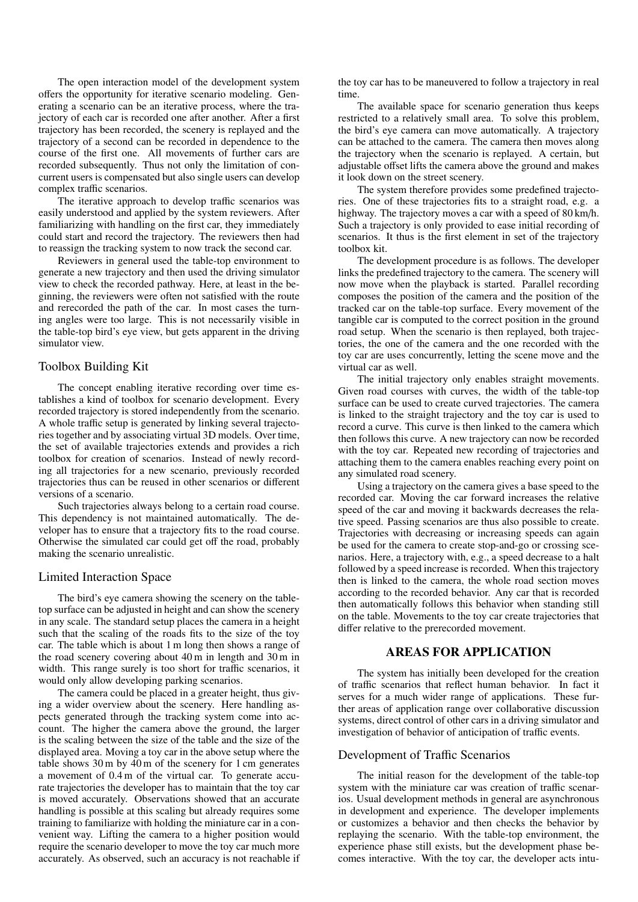The open interaction model of the development system offers the opportunity for iterative scenario modeling. Generating a scenario can be an iterative process, where the trajectory of each car is recorded one after another. After a first trajectory has been recorded, the scenery is replayed and the trajectory of a second can be recorded in dependence to the course of the first one. All movements of further cars are recorded subsequently. Thus not only the limitation of concurrent users is compensated but also single users can develop complex traffic scenarios.

The iterative approach to develop traffic scenarios was easily understood and applied by the system reviewers. After familiarizing with handling on the first car, they immediately could start and record the trajectory. The reviewers then had to reassign the tracking system to now track the second car.

Reviewers in general used the table-top environment to generate a new trajectory and then used the driving simulator view to check the recorded pathway. Here, at least in the beginning, the reviewers were often not satisfied with the route and rerecorded the path of the car. In most cases the turning angles were too large. This is not necessarily visible in the table-top bird's eye view, but gets apparent in the driving simulator view.

# Toolbox Building Kit

The concept enabling iterative recording over time establishes a kind of toolbox for scenario development. Every recorded trajectory is stored independently from the scenario. A whole traffic setup is generated by linking several trajectories together and by associating virtual 3D models. Over time, the set of available trajectories extends and provides a rich toolbox for creation of scenarios. Instead of newly recording all trajectories for a new scenario, previously recorded trajectories thus can be reused in other scenarios or different versions of a scenario.

Such trajectories always belong to a certain road course. This dependency is not maintained automatically. The developer has to ensure that a trajectory fits to the road course. Otherwise the simulated car could get off the road, probably making the scenario unrealistic.

#### Limited Interaction Space

The bird's eye camera showing the scenery on the tabletop surface can be adjusted in height and can show the scenery in any scale. The standard setup places the camera in a height such that the scaling of the roads fits to the size of the toy car. The table which is about 1 m long then shows a range of the road scenery covering about 40 m in length and 30 m in width. This range surely is too short for traffic scenarios, it would only allow developing parking scenarios.

The camera could be placed in a greater height, thus giving a wider overview about the scenery. Here handling aspects generated through the tracking system come into account. The higher the camera above the ground, the larger is the scaling between the size of the table and the size of the displayed area. Moving a toy car in the above setup where the table shows 30 m by 40 m of the scenery for 1 cm generates a movement of 0.4 m of the virtual car. To generate accurate trajectories the developer has to maintain that the toy car is moved accurately. Observations showed that an accurate handling is possible at this scaling but already requires some training to familiarize with holding the miniature car in a convenient way. Lifting the camera to a higher position would require the scenario developer to move the toy car much more accurately. As observed, such an accuracy is not reachable if

the toy car has to be maneuvered to follow a trajectory in real time.

The available space for scenario generation thus keeps restricted to a relatively small area. To solve this problem, the bird's eye camera can move automatically. A trajectory can be attached to the camera. The camera then moves along the trajectory when the scenario is replayed. A certain, but adjustable offset lifts the camera above the ground and makes it look down on the street scenery.

The system therefore provides some predefined trajectories. One of these trajectories fits to a straight road, e.g. a highway. The trajectory moves a car with a speed of 80 km/h. Such a trajectory is only provided to ease initial recording of scenarios. It thus is the first element in set of the trajectory toolbox kit.

The development procedure is as follows. The developer links the predefined trajectory to the camera. The scenery will now move when the playback is started. Parallel recording composes the position of the camera and the position of the tracked car on the table-top surface. Every movement of the tangible car is computed to the correct position in the ground road setup. When the scenario is then replayed, both trajectories, the one of the camera and the one recorded with the toy car are uses concurrently, letting the scene move and the virtual car as well.

The initial trajectory only enables straight movements. Given road courses with curves, the width of the table-top surface can be used to create curved trajectories. The camera is linked to the straight trajectory and the toy car is used to record a curve. This curve is then linked to the camera which then follows this curve. A new trajectory can now be recorded with the toy car. Repeated new recording of trajectories and attaching them to the camera enables reaching every point on any simulated road scenery.

Using a trajectory on the camera gives a base speed to the recorded car. Moving the car forward increases the relative speed of the car and moving it backwards decreases the relative speed. Passing scenarios are thus also possible to create. Trajectories with decreasing or increasing speeds can again be used for the camera to create stop-and-go or crossing scenarios. Here, a trajectory with, e.g., a speed decrease to a halt followed by a speed increase is recorded. When this trajectory then is linked to the camera, the whole road section moves according to the recorded behavior. Any car that is recorded then automatically follows this behavior when standing still on the table. Movements to the toy car create trajectories that differ relative to the prerecorded movement.

### AREAS FOR APPLICATION

The system has initially been developed for the creation of traffic scenarios that reflect human behavior. In fact it serves for a much wider range of applications. These further areas of application range over collaborative discussion systems, direct control of other cars in a driving simulator and investigation of behavior of anticipation of traffic events.

# Development of Traffic Scenarios

The initial reason for the development of the table-top system with the miniature car was creation of traffic scenarios. Usual development methods in general are asynchronous in development and experience. The developer implements or customizes a behavior and then checks the behavior by replaying the scenario. With the table-top environment, the experience phase still exists, but the development phase becomes interactive. With the toy car, the developer acts intu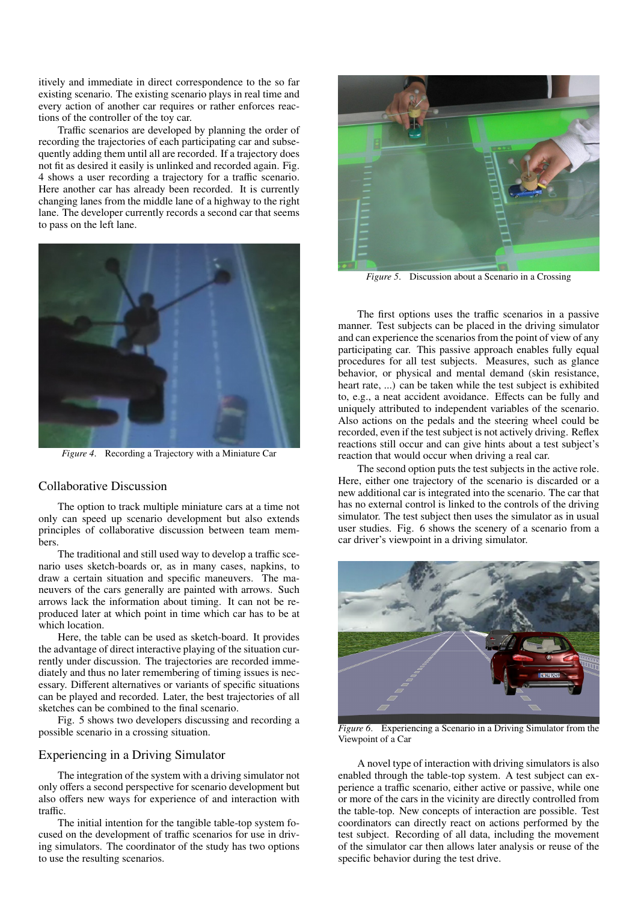itively and immediate in direct correspondence to the so far existing scenario. The existing scenario plays in real time and every action of another car requires or rather enforces reactions of the controller of the toy car.

Traffic scenarios are developed by planning the order of recording the trajectories of each participating car and subsequently adding them until all are recorded. If a trajectory does not fit as desired it easily is unlinked and recorded again. Fig. 4 shows a user recording a trajectory for a traffic scenario. Here another car has already been recorded. It is currently changing lanes from the middle lane of a highway to the right lane. The developer currently records a second car that seems to pass on the left lane.



*Figure 4*. Recording a Trajectory with a Miniature Car

#### Collaborative Discussion

The option to track multiple miniature cars at a time not only can speed up scenario development but also extends principles of collaborative discussion between team members.

The traditional and still used way to develop a traffic scenario uses sketch-boards or, as in many cases, napkins, to draw a certain situation and specific maneuvers. The maneuvers of the cars generally are painted with arrows. Such arrows lack the information about timing. It can not be reproduced later at which point in time which car has to be at which location.

Here, the table can be used as sketch-board. It provides the advantage of direct interactive playing of the situation currently under discussion. The trajectories are recorded immediately and thus no later remembering of timing issues is necessary. Different alternatives or variants of specific situations can be played and recorded. Later, the best trajectories of all sketches can be combined to the final scenario.

Fig. 5 shows two developers discussing and recording a possible scenario in a crossing situation.

# Experiencing in a Driving Simulator

The integration of the system with a driving simulator not only offers a second perspective for scenario development but also offers new ways for experience of and interaction with traffic.

The initial intention for the tangible table-top system focused on the development of traffic scenarios for use in driving simulators. The coordinator of the study has two options to use the resulting scenarios.



*Figure 5.* Discussion about a Scenario in a Crossing

The first options uses the traffic scenarios in a passive manner. Test subjects can be placed in the driving simulator and can experience the scenarios from the point of view of any participating car. This passive approach enables fully equal procedures for all test subjects. Measures, such as glance behavior, or physical and mental demand (skin resistance, heart rate, ...) can be taken while the test subject is exhibited to, e.g., a neat accident avoidance. Effects can be fully and uniquely attributed to independent variables of the scenario. Also actions on the pedals and the steering wheel could be recorded, even if the test subject is not actively driving. Reflex reactions still occur and can give hints about a test subject's reaction that would occur when driving a real car.

The second option puts the test subjects in the active role. Here, either one trajectory of the scenario is discarded or a new additional car is integrated into the scenario. The car that has no external control is linked to the controls of the driving simulator. The test subject then uses the simulator as in usual user studies. Fig. 6 shows the scenery of a scenario from a car driver's viewpoint in a driving simulator.



*Figure 6*. Experiencing a Scenario in a Driving Simulator from the Viewpoint of a Car

A novel type of interaction with driving simulators is also enabled through the table-top system. A test subject can experience a traffic scenario, either active or passive, while one or more of the cars in the vicinity are directly controlled from the table-top. New concepts of interaction are possible. Test coordinators can directly react on actions performed by the test subject. Recording of all data, including the movement of the simulator car then allows later analysis or reuse of the specific behavior during the test drive.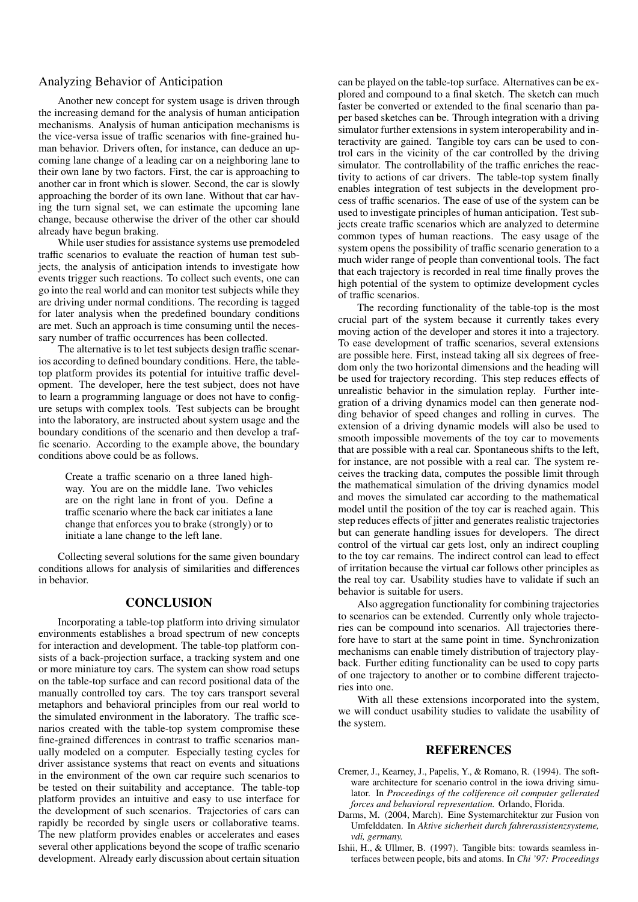### Analyzing Behavior of Anticipation

Another new concept for system usage is driven through the increasing demand for the analysis of human anticipation mechanisms. Analysis of human anticipation mechanisms is the vice-versa issue of traffic scenarios with fine-grained human behavior. Drivers often, for instance, can deduce an upcoming lane change of a leading car on a neighboring lane to their own lane by two factors. First, the car is approaching to another car in front which is slower. Second, the car is slowly approaching the border of its own lane. Without that car having the turn signal set, we can estimate the upcoming lane change, because otherwise the driver of the other car should already have begun braking.

While user studies for assistance systems use premodeled traffic scenarios to evaluate the reaction of human test subjects, the analysis of anticipation intends to investigate how events trigger such reactions. To collect such events, one can go into the real world and can monitor test subjects while they are driving under normal conditions. The recording is tagged for later analysis when the predefined boundary conditions are met. Such an approach is time consuming until the necessary number of traffic occurrences has been collected.

The alternative is to let test subjects design traffic scenarios according to defined boundary conditions. Here, the tabletop platform provides its potential for intuitive traffic development. The developer, here the test subject, does not have to learn a programming language or does not have to configure setups with complex tools. Test subjects can be brought into the laboratory, are instructed about system usage and the boundary conditions of the scenario and then develop a traffic scenario. According to the example above, the boundary conditions above could be as follows.

> Create a traffic scenario on a three laned highway. You are on the middle lane. Two vehicles are on the right lane in front of you. Define a traffic scenario where the back car initiates a lane change that enforces you to brake (strongly) or to initiate a lane change to the left lane.

Collecting several solutions for the same given boundary conditions allows for analysis of similarities and differences in behavior.

# **CONCLUSION**

Incorporating a table-top platform into driving simulator environments establishes a broad spectrum of new concepts for interaction and development. The table-top platform consists of a back-projection surface, a tracking system and one or more miniature toy cars. The system can show road setups on the table-top surface and can record positional data of the manually controlled toy cars. The toy cars transport several metaphors and behavioral principles from our real world to the simulated environment in the laboratory. The traffic scenarios created with the table-top system compromise these fine-grained differences in contrast to traffic scenarios manually modeled on a computer. Especially testing cycles for driver assistance systems that react on events and situations in the environment of the own car require such scenarios to be tested on their suitability and acceptance. The table-top platform provides an intuitive and easy to use interface for the development of such scenarios. Trajectories of cars can rapidly be recorded by single users or collaborative teams. The new platform provides enables or accelerates and eases several other applications beyond the scope of traffic scenario development. Already early discussion about certain situation

can be played on the table-top surface. Alternatives can be explored and compound to a final sketch. The sketch can much faster be converted or extended to the final scenario than paper based sketches can be. Through integration with a driving simulator further extensions in system interoperability and interactivity are gained. Tangible toy cars can be used to control cars in the vicinity of the car controlled by the driving simulator. The controllability of the traffic enriches the reactivity to actions of car drivers. The table-top system finally enables integration of test subjects in the development process of traffic scenarios. The ease of use of the system can be used to investigate principles of human anticipation. Test subjects create traffic scenarios which are analyzed to determine common types of human reactions. The easy usage of the system opens the possibility of traffic scenario generation to a much wider range of people than conventional tools. The fact that each trajectory is recorded in real time finally proves the high potential of the system to optimize development cycles of traffic scenarios.

The recording functionality of the table-top is the most crucial part of the system because it currently takes every moving action of the developer and stores it into a trajectory. To ease development of traffic scenarios, several extensions are possible here. First, instead taking all six degrees of freedom only the two horizontal dimensions and the heading will be used for trajectory recording. This step reduces effects of unrealistic behavior in the simulation replay. Further integration of a driving dynamics model can then generate nodding behavior of speed changes and rolling in curves. The extension of a driving dynamic models will also be used to smooth impossible movements of the toy car to movements that are possible with a real car. Spontaneous shifts to the left, for instance, are not possible with a real car. The system receives the tracking data, computes the possible limit through the mathematical simulation of the driving dynamics model and moves the simulated car according to the mathematical model until the position of the toy car is reached again. This step reduces effects of jitter and generates realistic trajectories but can generate handling issues for developers. The direct control of the virtual car gets lost, only an indirect coupling to the toy car remains. The indirect control can lead to effect of irritation because the virtual car follows other principles as the real toy car. Usability studies have to validate if such an behavior is suitable for users.

Also aggregation functionality for combining trajectories to scenarios can be extended. Currently only whole trajectories can be compound into scenarios. All trajectories therefore have to start at the same point in time. Synchronization mechanisms can enable timely distribution of trajectory playback. Further editing functionality can be used to copy parts of one trajectory to another or to combine different trajectories into one.

With all these extensions incorporated into the system, we will conduct usability studies to validate the usability of the system.

#### **REFERENCES**

- Cremer, J., Kearney, J., Papelis, Y., & Romano, R. (1994). The software architecture for scenario control in the iowa driving simulator. In *Proceedings of the coliference oil computer gellerated forces and behavioral representation.* Orlando, Florida.
- Darms, M. (2004, March). Eine Systemarchitektur zur Fusion von Umfelddaten. In *Aktive sicherheit durch fahrerassistenzsysteme, vdi, germany.*
- Ishii, H., & Ullmer, B. (1997). Tangible bits: towards seamless interfaces between people, bits and atoms. In *Chi '97: Proceedings*